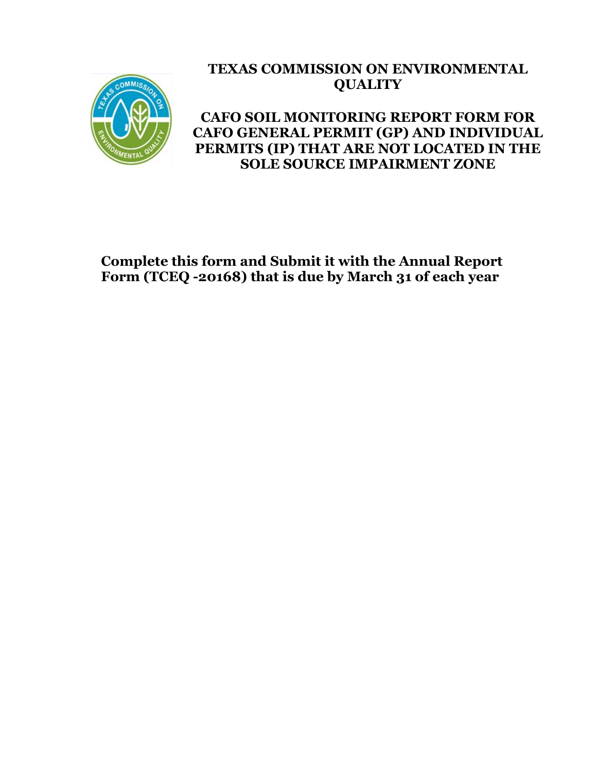

# **TEXAS COMMISSION ON ENVIRONMENTAL QUALITY**

# **CAFO SOIL MONITORING REPORT FORM FOR CAFO GENERAL PERMIT (GP) AND INDIVIDUAL PERMITS (IP) THAT ARE NOT LOCATED IN THE SOLE SOURCE IMPAIRMENT ZONE**

# **Complete this form and Submit it with the Annual Report Form (TCEQ -20168) that is due by March 31 of each year**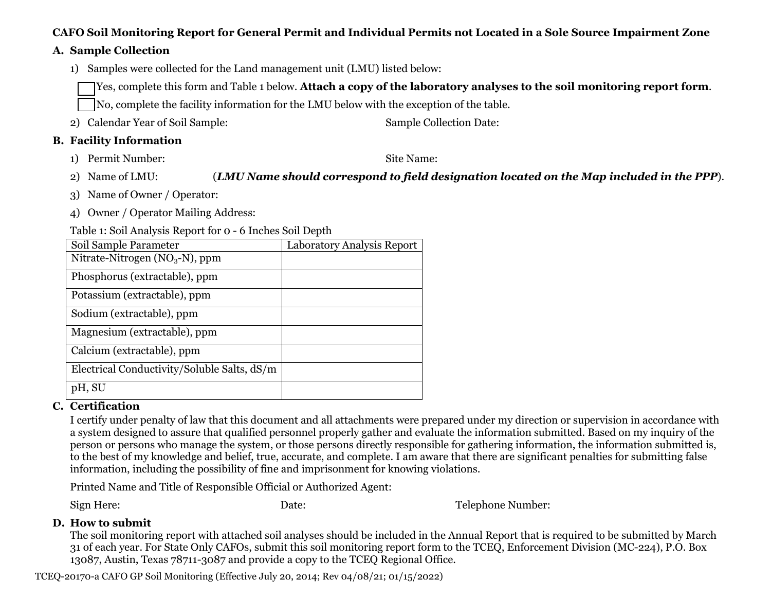#### **CAFO Soil Monitoring Report for General Permit and Individual Permits not Located in a Sole Source Impairment Zone**

#### **A. Sample Collection**

1) Samples were collected for the Land management unit (LMU) listed below:

Yes, complete this form and Table 1 below. **Attach a copy of the laboratory analyses to the soil monitoring report form**.

No, complete the facility information for the LMU below with the exception of the table.

2) Calendar Year of Soil Sample: Sample Collection Date:

### **B. Facility Information**

1) Permit Number: Site Name:

2) Name of LMU: (*LMU Name should correspond to field designation located on the Map included in the PPP*).

- 3) Name of Owner / Operator:
- 4) Owner / Operator Mailing Address:

Table 1: Soil Analysis Report for 0 - 6 Inches Soil Depth

| Soil Sample Parameter                       | Laboratory Analysis Report |
|---------------------------------------------|----------------------------|
| Nitrate-Nitrogen ( $NO3$ -N), ppm           |                            |
| Phosphorus (extractable), ppm               |                            |
| Potassium (extractable), ppm                |                            |
| Sodium (extractable), ppm                   |                            |
| Magnesium (extractable), ppm                |                            |
| Calcium (extractable), ppm                  |                            |
| Electrical Conductivity/Soluble Salts, dS/m |                            |
| pH, SU                                      |                            |

## **C. Certification**

I certify under penalty of law that this document and all attachments were prepared under my direction or supervision in accordance with a system designed to assure that qualified personnel properly gather and evaluate the information submitted. Based on my inquiry of the person or persons who manage the system, or those persons directly responsible for gathering information, the information submitted is, to the best of my knowledge and belief, true, accurate, and complete. I am aware that there are significant penalties for submitting false information, including the possibility of fine and imprisonment for knowing violations.

Printed Name and Title of Responsible Official or Authorized Agent:

Sign Here: Date: Telephone Number:

## **D. How to submit**

The soil monitoring report with attached soil analyses should be included in the Annual Report that is required to be submitted by March 31 of each year. For State Only CAFOs, submit this soil monitoring report form to the TCEQ, Enforcement Division (MC-224), P.O. Box 13087, Austin, Texas 78711-3087 and provide a copy to the TCEQ Regional Office.

TCEQ-20170-a CAFO GP Soil Monitoring (Effective July 20, 2014; Rev 04/08/21; 01/15/2022)